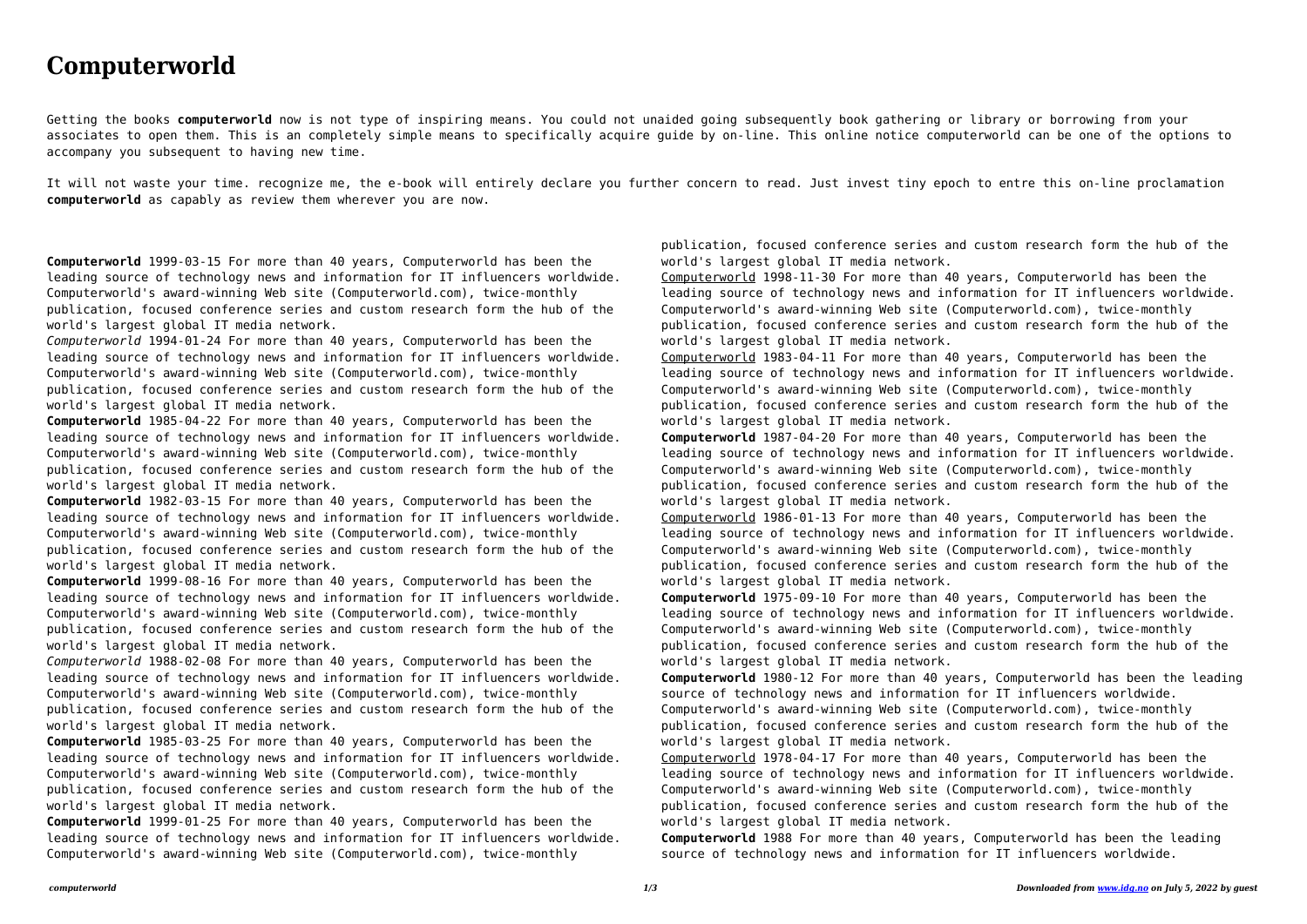## **Computerworld**

Getting the books **computerworld** now is not type of inspiring means. You could not unaided going subsequently book gathering or library or borrowing from your associates to open them. This is an completely simple means to specifically acquire guide by on-line. This online notice computerworld can be one of the options to accompany you subsequent to having new time.

It will not waste your time. recognize me, the e-book will entirely declare you further concern to read. Just invest tiny epoch to entre this on-line proclamation **computerworld** as capably as review them wherever you are now.

**Computerworld** 1999-03-15 For more than 40 years, Computerworld has been the leading source of technology news and information for IT influencers worldwide. Computerworld's award-winning Web site (Computerworld.com), twice-monthly publication, focused conference series and custom research form the hub of the world's largest global IT media network.

*Computerworld* 1994-01-24 For more than 40 years, Computerworld has been the leading source of technology news and information for IT influencers worldwide. Computerworld's award-winning Web site (Computerworld.com), twice-monthly publication, focused conference series and custom research form the hub of the world's largest global IT media network.

**Computerworld** 1985-04-22 For more than 40 years, Computerworld has been the leading source of technology news and information for IT influencers worldwide. Computerworld's award-winning Web site (Computerworld.com), twice-monthly publication, focused conference series and custom research form the hub of the world's largest global IT media network.

**Computerworld** 1982-03-15 For more than 40 years, Computerworld has been the leading source of technology news and information for IT influencers worldwide. Computerworld's award-winning Web site (Computerworld.com), twice-monthly publication, focused conference series and custom research form the hub of the world's largest global IT media network.

**Computerworld** 1999-08-16 For more than 40 years, Computerworld has been the leading source of technology news and information for IT influencers worldwide. Computerworld's award-winning Web site (Computerworld.com), twice-monthly publication, focused conference series and custom research form the hub of the world's largest global IT media network.

*Computerworld* 1988-02-08 For more than 40 years, Computerworld has been the leading source of technology news and information for IT influencers worldwide. Computerworld's award-winning Web site (Computerworld.com), twice-monthly publication, focused conference series and custom research form the hub of the world's largest global IT media network.

**Computerworld** 1985-03-25 For more than 40 years, Computerworld has been the leading source of technology news and information for IT influencers worldwide. Computerworld's award-winning Web site (Computerworld.com), twice-monthly publication, focused conference series and custom research form the hub of the world's largest global IT media network.

**Computerworld** 1999-01-25 For more than 40 years, Computerworld has been the leading source of technology news and information for IT influencers worldwide. Computerworld's award-winning Web site (Computerworld.com), twice-monthly

publication, focused conference series and custom research form the hub of the world's largest global IT media network.

Computerworld 1998-11-30 For more than 40 years, Computerworld has been the leading source of technology news and information for IT influencers worldwide. Computerworld's award-winning Web site (Computerworld.com), twice-monthly publication, focused conference series and custom research form the hub of the world's largest global IT media network.

Computerworld 1983-04-11 For more than 40 years, Computerworld has been the leading source of technology news and information for IT influencers worldwide. Computerworld's award-winning Web site (Computerworld.com), twice-monthly publication, focused conference series and custom research form the hub of the world's largest global IT media network.

**Computerworld** 1987-04-20 For more than 40 years, Computerworld has been the leading source of technology news and information for IT influencers worldwide. Computerworld's award-winning Web site (Computerworld.com), twice-monthly publication, focused conference series and custom research form the hub of the world's largest global IT media network.

Computerworld 1986-01-13 For more than 40 years, Computerworld has been the leading source of technology news and information for IT influencers worldwide. Computerworld's award-winning Web site (Computerworld.com), twice-monthly publication, focused conference series and custom research form the hub of the world's largest global IT media network.

**Computerworld** 1975-09-10 For more than 40 years, Computerworld has been the leading source of technology news and information for IT influencers worldwide. Computerworld's award-winning Web site (Computerworld.com), twice-monthly publication, focused conference series and custom research form the hub of the world's largest global IT media network.

**Computerworld** 1980-12 For more than 40 years, Computerworld has been the leading source of technology news and information for IT influencers worldwide. Computerworld's award-winning Web site (Computerworld.com), twice-monthly publication, focused conference series and custom research form the hub of the world's largest global IT media network.

Computerworld 1978-04-17 For more than 40 years, Computerworld has been the leading source of technology news and information for IT influencers worldwide. Computerworld's award-winning Web site (Computerworld.com), twice-monthly publication, focused conference series and custom research form the hub of the world's largest global IT media network.

**Computerworld** 1988 For more than 40 years, Computerworld has been the leading source of technology news and information for IT influencers worldwide.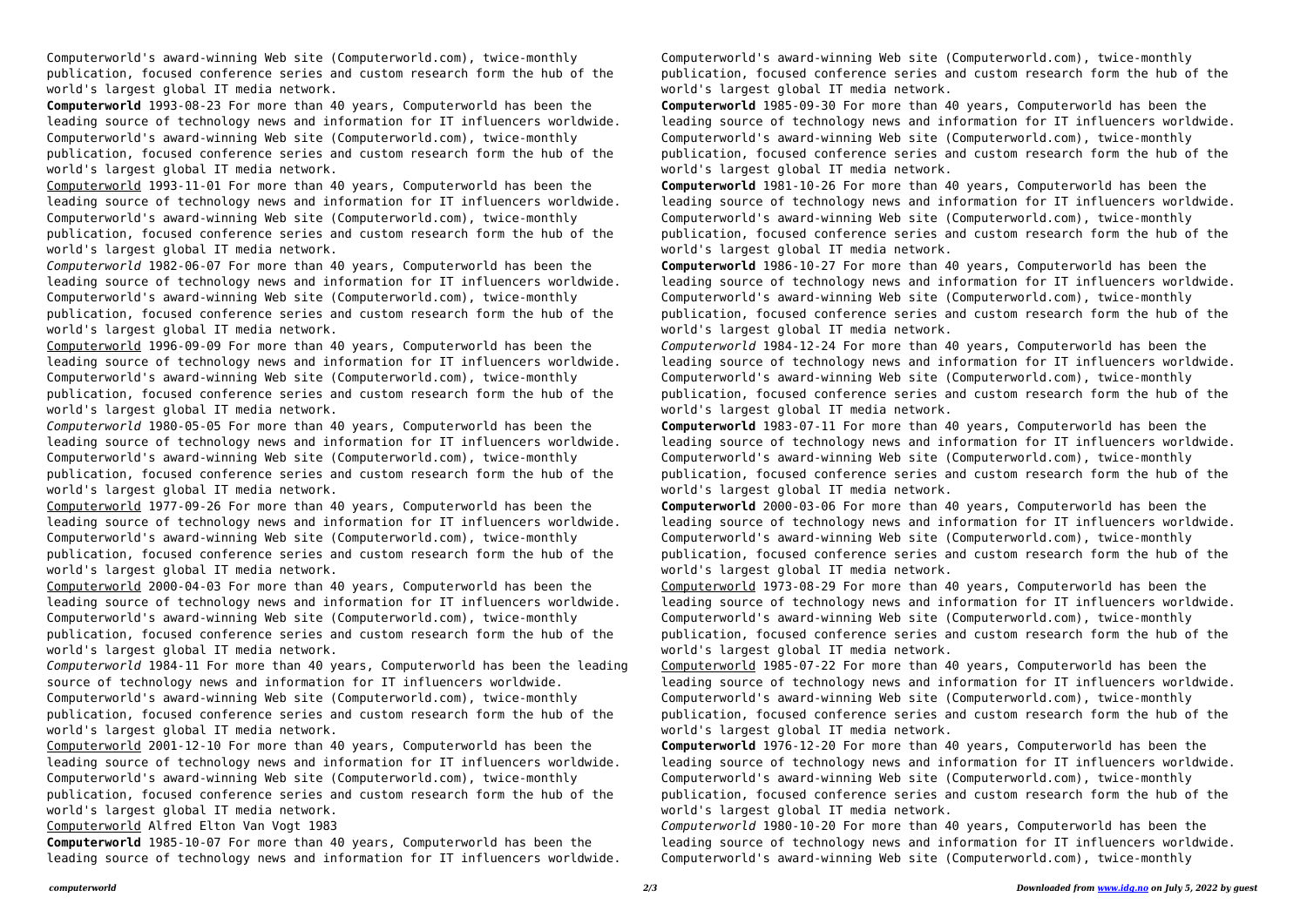Computerworld's award-winning Web site (Computerworld.com), twice-monthly publication, focused conference series and custom research form the hub of the world's largest global IT media network.

**Computerworld** 1993-08-23 For more than 40 years, Computerworld has been the leading source of technology news and information for IT influencers worldwide. Computerworld's award-winning Web site (Computerworld.com), twice-monthly publication, focused conference series and custom research form the hub of the world's largest global IT media network.

Computerworld 1993-11-01 For more than 40 years, Computerworld has been the leading source of technology news and information for IT influencers worldwide. Computerworld's award-winning Web site (Computerworld.com), twice-monthly publication, focused conference series and custom research form the hub of the world's largest global IT media network.

*Computerworld* 1982-06-07 For more than 40 years, Computerworld has been the leading source of technology news and information for IT influencers worldwide. Computerworld's award-winning Web site (Computerworld.com), twice-monthly publication, focused conference series and custom research form the hub of the world's largest global IT media network.

Computerworld 1996-09-09 For more than 40 years, Computerworld has been the leading source of technology news and information for IT influencers worldwide. Computerworld's award-winning Web site (Computerworld.com), twice-monthly publication, focused conference series and custom research form the hub of the world's largest global IT media network.

*Computerworld* 1980-05-05 For more than 40 years, Computerworld has been the leading source of technology news and information for IT influencers worldwide. Computerworld's award-winning Web site (Computerworld.com), twice-monthly publication, focused conference series and custom research form the hub of the world's largest global IT media network.

Computerworld 1977-09-26 For more than 40 years, Computerworld has been the leading source of technology news and information for IT influencers worldwide. Computerworld's award-winning Web site (Computerworld.com), twice-monthly publication, focused conference series and custom research form the hub of the world's largest global IT media network.

Computerworld 2000-04-03 For more than 40 years, Computerworld has been the leading source of technology news and information for IT influencers worldwide. Computerworld's award-winning Web site (Computerworld.com), twice-monthly publication, focused conference series and custom research form the hub of the world's largest global IT media network.

*Computerworld* 1984-11 For more than 40 years, Computerworld has been the leading source of technology news and information for IT influencers worldwide. Computerworld's award-winning Web site (Computerworld.com), twice-monthly publication, focused conference series and custom research form the hub of the world's largest global IT media network.

Computerworld 2001-12-10 For more than 40 years, Computerworld has been the leading source of technology news and information for IT influencers worldwide. Computerworld's award-winning Web site (Computerworld.com), twice-monthly publication, focused conference series and custom research form the hub of the world's largest global IT media network.

Computerworld Alfred Elton Van Vogt 1983

**Computerworld** 1985-10-07 For more than 40 years, Computerworld has been the leading source of technology news and information for IT influencers worldwide.

Computerworld's award-winning Web site (Computerworld.com), twice-monthly publication, focused conference series and custom research form the hub of the world's largest global IT media network.

**Computerworld** 1985-09-30 For more than 40 years, Computerworld has been the leading source of technology news and information for IT influencers worldwide. Computerworld's award-winning Web site (Computerworld.com), twice-monthly publication, focused conference series and custom research form the hub of the world's largest global IT media network.

**Computerworld** 1981-10-26 For more than 40 years, Computerworld has been the leading source of technology news and information for IT influencers worldwide. Computerworld's award-winning Web site (Computerworld.com), twice-monthly publication, focused conference series and custom research form the hub of the world's largest global IT media network.

**Computerworld** 1986-10-27 For more than 40 years, Computerworld has been the leading source of technology news and information for IT influencers worldwide. Computerworld's award-winning Web site (Computerworld.com), twice-monthly publication, focused conference series and custom research form the hub of the world's largest global IT media network.

*Computerworld* 1984-12-24 For more than 40 years, Computerworld has been the leading source of technology news and information for IT influencers worldwide. Computerworld's award-winning Web site (Computerworld.com), twice-monthly publication, focused conference series and custom research form the hub of the world's largest global IT media network.

**Computerworld** 1983-07-11 For more than 40 years, Computerworld has been the leading source of technology news and information for IT influencers worldwide. Computerworld's award-winning Web site (Computerworld.com), twice-monthly publication, focused conference series and custom research form the hub of the world's largest global IT media network.

**Computerworld** 2000-03-06 For more than 40 years, Computerworld has been the leading source of technology news and information for IT influencers worldwide. Computerworld's award-winning Web site (Computerworld.com), twice-monthly publication, focused conference series and custom research form the hub of the world's largest global IT media network.

Computerworld 1973-08-29 For more than 40 years, Computerworld has been the leading source of technology news and information for IT influencers worldwide. Computerworld's award-winning Web site (Computerworld.com), twice-monthly publication, focused conference series and custom research form the hub of the world's largest global IT media network.

Computerworld 1985-07-22 For more than 40 years, Computerworld has been the leading source of technology news and information for IT influencers worldwide. Computerworld's award-winning Web site (Computerworld.com), twice-monthly publication, focused conference series and custom research form the hub of the world's largest global IT media network.

**Computerworld** 1976-12-20 For more than 40 years, Computerworld has been the leading source of technology news and information for IT influencers worldwide. Computerworld's award-winning Web site (Computerworld.com), twice-monthly publication, focused conference series and custom research form the hub of the world's largest global IT media network.

*Computerworld* 1980-10-20 For more than 40 years, Computerworld has been the leading source of technology news and information for IT influencers worldwide. Computerworld's award-winning Web site (Computerworld.com), twice-monthly